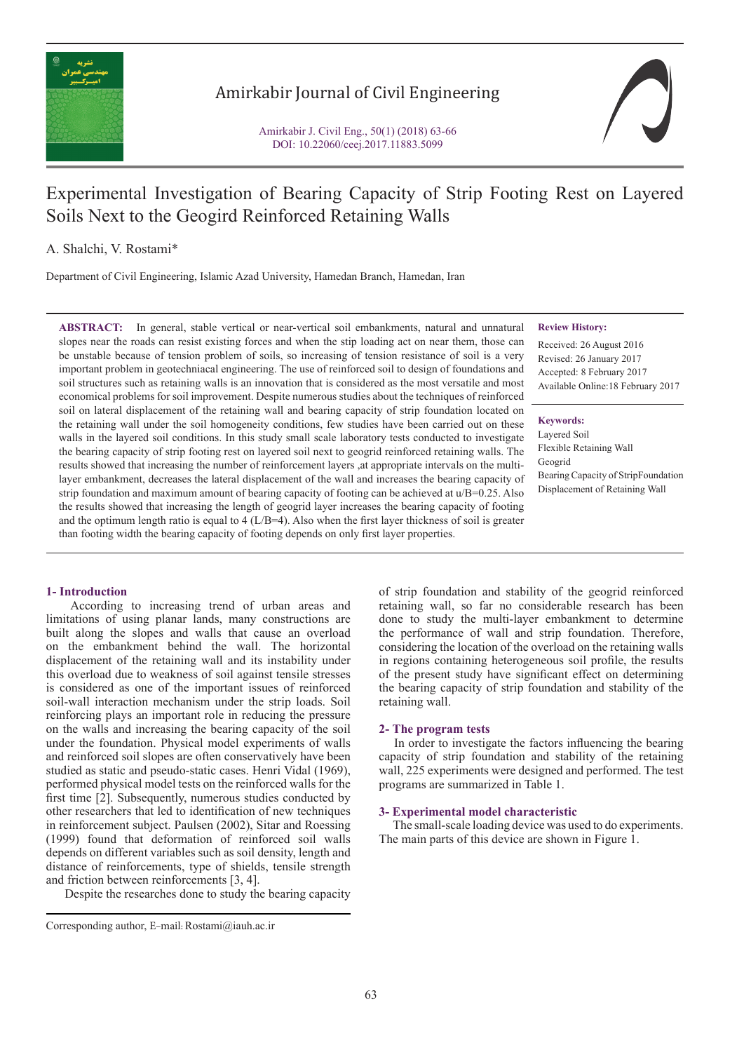

# Amirkabir Journal of Civil Engineering

Amirkabir J. Civil Eng., 50(1) (2018) 63-66 DOI: 10.22060/ceej.2017.11883.5099

# Experimental Investigation of Bearing Capacity of Strip Footing Rest on Layered Soils Next to the Geogird Reinforced Retaining Walls

A. Shalchi, V. Rostami\*

Department of Civil Engineering, Islamic Azad University, Hamedan Branch, Hamedan, Iran

**ABSTRACT:** In general, stable vertical or near-vertical soil embankments, natural and unnatural slopes near the roads can resist existing forces and when the stip loading act on near them, those can be unstable because of tension problem of soils, so increasing of tension resistance of soil is a very important problem in geotechniacal engineering. The use of reinforced soil to design of foundations and soil structures such as retaining walls is an innovation that is considered as the most versatile and most economical problems for soil improvement. Despite numerous studies about the techniques of reinforced soil on lateral displacement of the retaining wall and bearing capacity of strip foundation located on the retaining wall under the soil homogeneity conditions, few studies have been carried out on these walls in the layered soil conditions. In this study small scale laboratory tests conducted to investigate the bearing capacity of strip footing rest on layered soil next to geogrid reinforced retaining walls. The results showed that increasing the number of reinforcement layers ,at appropriate intervals on the multilayer embankment, decreases the lateral displacement of the wall and increases the bearing capacity of strip foundation and maximum amount of bearing capacity of footing can be achieved at  $u/B$ =0.25. Also the results showed that increasing the length of geogrid layer increases the bearing capacity of footing and the optimum length ratio is equal to  $4$  ( $L/B=4$ ). Also when the first layer thickness of soil is greater than footing width the bearing capacity of footing depends on only first layer properties.

## **Review History:**

Received: 26 August 2016 Revised: 26 January 2017 Accepted: 8 February 2017 Available Online:18 February 2017

**Keywords:** Layered Soil Flexible Retaining Wall Geogrid Bearing Capacity of StripFoundation Displacement of Retaining Wall

## **1- Introduction**

 According to increasing trend of urban areas and limitations of using planar lands, many constructions are built along the slopes and walls that cause an overload on the embankment behind the wall. The horizontal displacement of the retaining wall and its instability under this overload due to weakness of soil against tensile stresses is considered as one of the important issues of reinforced soil-wall interaction mechanism under the strip loads. Soil reinforcing plays an important role in reducing the pressure on the walls and increasing the bearing capacity of the soil under the foundation. Physical model experiments of walls and reinforced soil slopes are often conservatively have been studied as static and pseudo-static cases. Henri Vidal (1969), performed physical model tests on the reinforced walls for the first time [2]. Subsequently, numerous studies conducted by other researchers that led to identification of new techniques in reinforcement subject. Paulsen (2002), Sitar and Roessing (1999) found that deformation of reinforced soil walls depends on different variables such as soil density, length and distance of reinforcements, type of shields, tensile strength and friction between reinforcements [3, 4].

Despite the researches done to study the bearing capacity

of strip foundation and stability of the geogrid reinforced retaining wall, so far no considerable research has been done to study the multi-layer embankment to determine the performance of wall and strip foundation. Therefore, considering the location of the overload on the retaining walls in regions containing heterogeneous soil profile, the results of the present study have significant effect on determining the bearing capacity of strip foundation and stability of the retaining wall.

### **2- The program tests**

 In order to investigate the factors influencing the bearing capacity of strip foundation and stability of the retaining wall, 225 experiments were designed and performed. The test programs are summarized in Table 1.

#### **3- Experimental model characteristic**

 The small-scale loading device was used to do experiments. The main parts of this device are shown in Figure 1.

Corresponding author, E-mail: Rostami@iauh.ac.ir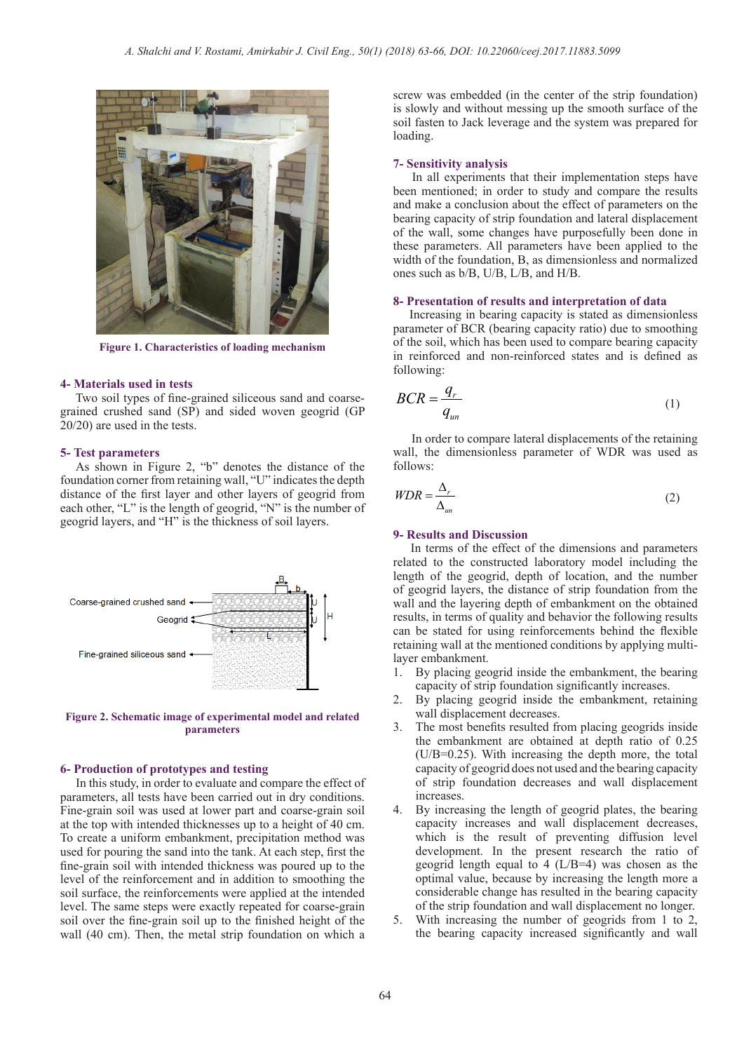

**Figure 1. Characteristics of loading mechanism**

#### **4- Materials used in tests**

 Two soil types of fine-grained siliceous sand and coarsegrained crushed sand (SP) and sided woven geogrid (GP 20/20) are used in the tests.

#### **5- Test parameters**

 As shown in Figure 2, "b" denotes the distance of the foundation corner from retaining wall, "U" indicates the depth distance of the first layer and other layers of geogrid from each other, "L" is the length of geogrid, "N" is the number of geogrid layers, and "H" is the thickness of soil layers.



**Figure 2. Schematic image of experimental model and related parameters**

#### **6- Production of prototypes and testing**

 In this study, in order to evaluate and compare the effect of parameters, all tests have been carried out in dry conditions. Fine-grain soil was used at lower part and coarse-grain soil at the top with intended thicknesses up to a height of 40 cm. To create a uniform embankment, precipitation method was used for pouring the sand into the tank. At each step, first the fine-grain soil with intended thickness was poured up to the level of the reinforcement and in addition to smoothing the soil surface, the reinforcements were applied at the intended level. The same steps were exactly repeated for coarse-grain soil over the fine-grain soil up to the finished height of the wall (40 cm). Then, the metal strip foundation on which a screw was embedded (in the center of the strip foundation) is slowly and without messing up the smooth surface of the soil fasten to Jack leverage and the system was prepared for loading.

#### **7- Sensitivity analysis**

 In all experiments that their implementation steps have been mentioned; in order to study and compare the results and make a conclusion about the effect of parameters on the bearing capacity of strip foundation and lateral displacement of the wall, some changes have purposefully been done in these parameters. All parameters have been applied to the width of the foundation, B, as dimensionless and normalized ones such as b/B, U/B, L/B, and H/B.

### **8- Presentation of results and interpretation of data**

 Increasing in bearing capacity is stated as dimensionless parameter of BCR (bearing capacity ratio) due to smoothing of the soil, which has been used to compare bearing capacity in reinforced and non-reinforced states and is defined as following:

$$
BCR = \frac{q_r}{q_{un}}\tag{1}
$$

 In order to compare lateral displacements of the retaining wall, the dimensionless parameter of WDR was used as follows:

$$
WDR = \frac{\Delta_r}{\Delta_{un}}\tag{2}
$$

#### **9- Results and Discussion**

 In terms of the effect of the dimensions and parameters related to the constructed laboratory model including the length of the geogrid, depth of location, and the number of geogrid layers, the distance of strip foundation from the wall and the layering depth of embankment on the obtained results, in terms of quality and behavior the following results can be stated for using reinforcements behind the flexible retaining wall at the mentioned conditions by applying multilayer embankment.

- 1. By placing geogrid inside the embankment, the bearing capacity of strip foundation significantly increases.
- 2. By placing geogrid inside the embankment, retaining wall displacement decreases.
- 3. The most benefits resulted from placing geogrids inside the embankment are obtained at depth ratio of 0.25 (U/B=0.25). With increasing the depth more, the total capacity of geogrid does not used and the bearing capacity of strip foundation decreases and wall displacement increases.
- 4. By increasing the length of geogrid plates, the bearing capacity increases and wall displacement decreases, which is the result of preventing diffusion level development. In the present research the ratio of geogrid length equal to 4 (L/B=4) was chosen as the optimal value, because by increasing the length more a considerable change has resulted in the bearing capacity of the strip foundation and wall displacement no longer.
- 5. With increasing the number of geogrids from 1 to 2, the bearing capacity increased significantly and wall